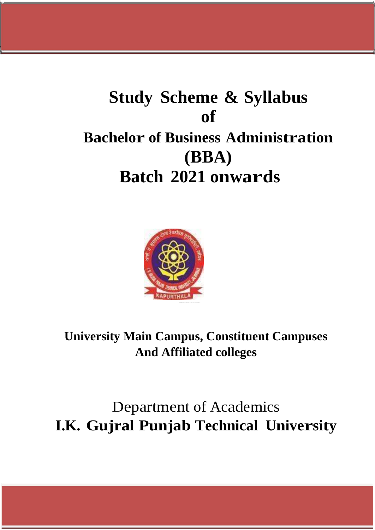# **Study Scheme & Syllabus of Bachelor of Business Administration (BBA) Batch 2021 onwards**



**University Main Campus, Constituent Campuses And Affiliated colleges**

Department of Academics **I.K. Gujral Punjab Technical University**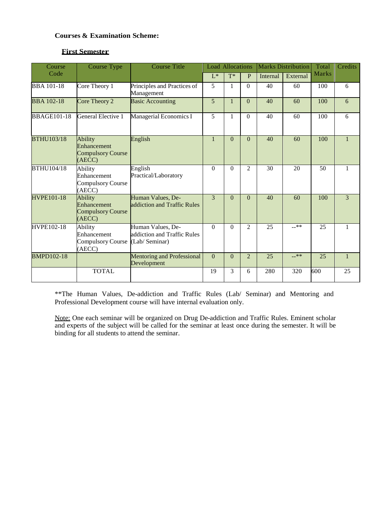#### **Courses & Examination Scheme:**

#### **First Semester**

| Course             | <b>Course Type</b>                                                  | <b>Course Title</b>                                                | <b>Load Allocations</b> |              |                | <b>Marks Distribution</b> |          | Total        | Credits        |
|--------------------|---------------------------------------------------------------------|--------------------------------------------------------------------|-------------------------|--------------|----------------|---------------------------|----------|--------------|----------------|
| Code               |                                                                     |                                                                    | $L^*$                   | $T^*$        | P              | Internal                  | External | <b>Marks</b> |                |
| <b>BBA</b> 101-18  | Core Theory 1                                                       | Principles and Practices of<br>Management                          | 5                       | 1            | $\Omega$       | 40                        | 60       | 100          | 6              |
| <b>BBA 102-18</b>  | Core Theory 2                                                       | <b>Basic Accounting</b>                                            | 5                       | $\mathbf{1}$ | $\Omega$       | 40                        | 60       | 100          | 6              |
| <b>BBAGE101-18</b> | General Elective 1                                                  | Managerial Economics I                                             | 5                       | 1            | $\theta$       | 40                        | 60       | 100          | 6              |
| <b>BTHU103/18</b>  | <b>Ability</b><br>Enhancement<br><b>Compulsory Course</b><br>(AECC) | English                                                            | $\mathbf{1}$            | $\theta$     | $\Omega$       | 40                        | 60       | 100          | $\mathbf{1}$   |
| <b>BTHU104/18</b>  | Ability<br>Enhancement<br><b>Compulsory Course</b><br>(AECC)        | English<br>Practical/Laboratory                                    | $\Omega$                | $\Omega$     | $\mathfrak{D}$ | 30                        | 20       | 50           | 1              |
| <b>HVPE101-18</b>  | <b>Ability</b><br>Enhancement<br><b>Compulsory Course</b><br>(AECC) | Human Values, De-<br>addiction and Traffic Rules                   | 3                       | $\Omega$     | $\theta$       | 40                        | 60       | 100          | $\overline{3}$ |
| <b>HVPE102-18</b>  | Ability<br>Enhancement<br><b>Compulsory Course</b><br>(AECC)        | Human Values, De-<br>addiction and Traffic Rules<br>(Lab/ Seminar) | $\Omega$                | $\Omega$     | $\overline{2}$ | 25                        | $-***$   | 25           | 1              |
| <b>BMPD102-18</b>  |                                                                     | <b>Mentoring and Professional</b><br>Development                   | $\theta$                | $\theta$     | $\overline{2}$ | 25                        | $-***$   | 25           | $\mathbf{1}$   |
|                    | <b>TOTAL</b>                                                        |                                                                    | 19                      | 3            | 6              | 280                       | 320      | 600          | 25             |

\*\*The Human Values, De-addiction and Traffic Rules (Lab/ Seminar) and Mentoring and Professional Development course will have internal evaluation only.

Note: One each seminar will be organized on Drug De-addiction and Traffic Rules. Eminent scholar and experts of the subject will be called for the seminar at least once during the semester. It will be binding for all students to attend the seminar.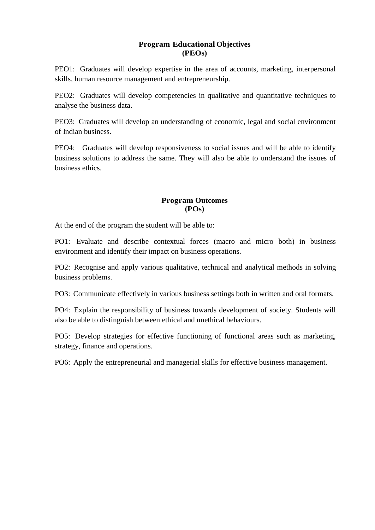## **Program Educational Objectives (PEOs)**

PEO1: Graduates will develop expertise in the area of accounts, marketing, interpersonal skills, human resource management and entrepreneurship.

PEO2: Graduates will develop competencies in qualitative and quantitative techniques to analyse the business data.

PEO3: Graduates will develop an understanding of economic, legal and social environment of Indian business.

PEO4: Graduates will develop responsiveness to social issues and will be able to identify business solutions to address the same. They will also be able to understand the issues of business ethics.

#### **Program Outcomes (POs)**

At the end of the program the student will be able to:

PO1: Evaluate and describe contextual forces (macro and micro both) in business environment and identify their impact on business operations.

PO2: Recognise and apply various qualitative, technical and analytical methods in solving business problems.

PO3: Communicate effectively in various business settings both in written and oral formats.

PO4: Explain the responsibility of business towards development of society. Students will also be able to distinguish between ethical and unethical behaviours.

PO5: Develop strategies for effective functioning of functional areas such as marketing, strategy, finance and operations.

PO6: Apply the entrepreneurial and managerial skills for effective business management.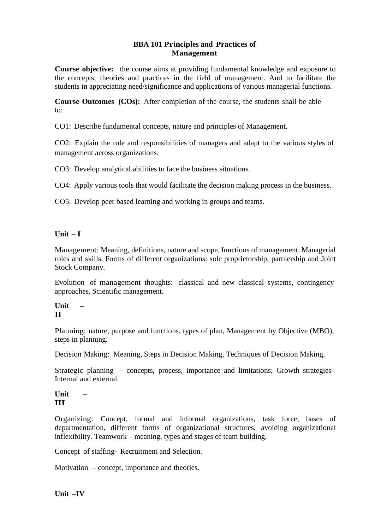## **BBA 101 Principles and Practices of Management**

**Course objective:** the course aims at providing fundamental knowledge and exposure to the concepts, theories and practices in the field of management. And to facilitate the students in appreciating need/significance and applications of various managerial functions.

**Course Outcomes (COs):** After completion of the course, the students shall be able to:

CO1: Describe fundamental concepts, nature and principles of Management.

CO2: Explain the role and responsibilities of managers and adapt to the various styles of management across organizations.

CO3: Develop analytical abilities to face the business situations.

CO4: Apply various tools that would facilitate the decision making process in the business.

CO5: Develop peer based learning and working in groups and teams.

#### **Unit – I**

Management: Meaning, definitions, nature and scope, functions of management. Managerial roles and skills. Forms of different organizations: sole proprietorship, partnership and Joint Stock Company.

Evolution of management thoughts: classical and new classical systems, contingency approaches, Scientific management.

#### **Unit – II**

Planning: nature, purpose and functions, types of plan, Management by Objective (MBO), steps in planning.

Decision Making: Meaning, Steps in Decision Making, Techniques of Decision Making.

Strategic planning – concepts, process, importance and limitations; Growth strategies-Internal and external.

## **Unit – III**

Organizing: Concept, formal and informal organizations, task force, bases of departmentation, different forms of organizational structures, avoiding organizational inflexibility. Teamwork – meaning, types and stages of team building.

Concept of staffing- Recruitment and Selection.

Motivation – concept, importance and theories.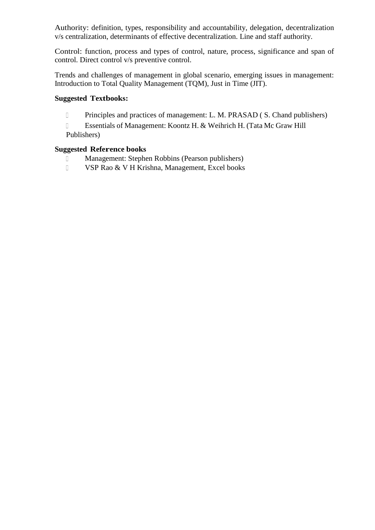Authority: definition, types, responsibility and accountability, delegation, decentralization v/s centralization, determinants of effective decentralization. Line and staff authority.

Control: function, process and types of control, nature, process, significance and span of control. Direct control v/s preventive control.

Trends and challenges of management in global scenario, emerging issues in management: Introduction to Total Quality Management (TQM), Just in Time (JIT).

#### **Suggested Textbooks:**

Principles and practices of management: L. M. PRASAD ( S. Chand publishers)

 Essentials of Management: Koontz H. & Weihrich H. (Tata Mc Graw Hill Publishers)

## **Suggested Reference books**

- Management: Stephen Robbins (Pearson publishers)
- VSP Rao & V H Krishna, Management, Excel books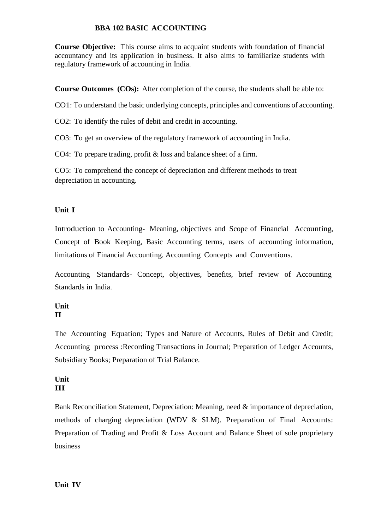## **BBA 102 BASIC ACCOUNTING**

**Course Objective:** This course aims to acquaint students with foundation of financial accountancy and its application in business. It also aims to familiarize students with regulatory framework of accounting in India.

**Course Outcomes (COs):** After completion of the course, the students shall be able to:

CO1: To understand the basic underlying concepts, principles and conventions of accounting.

CO2: To identify the rules of debit and credit in accounting.

CO3: To get an overview of the regulatory framework of accounting in India.

CO4: To prepare trading, profit & loss and balance sheet of a firm.

CO5: To comprehend the concept of depreciation and different methods to treat depreciation in accounting.

## **Unit I**

Introduction to Accounting- Meaning, objectives and Scope of Financial Accounting, Concept of Book Keeping, Basic Accounting terms, users of accounting information, limitations of Financial Accounting. Accounting Concepts and Conventions.

Accounting Standards- Concept, objectives, benefits, brief review of Accounting Standards in India.

#### **Unit II**

The Accounting Equation; Types and Nature of Accounts, Rules of Debit and Credit; Accounting process :Recording Transactions in Journal; Preparation of Ledger Accounts, Subsidiary Books; Preparation of Trial Balance.

#### **Unit III**

Bank Reconciliation Statement, Depreciation: Meaning, need & importance of depreciation, methods of charging depreciation (WDV & SLM). Preparation of Final Accounts: Preparation of Trading and Profit & Loss Account and Balance Sheet of sole proprietary business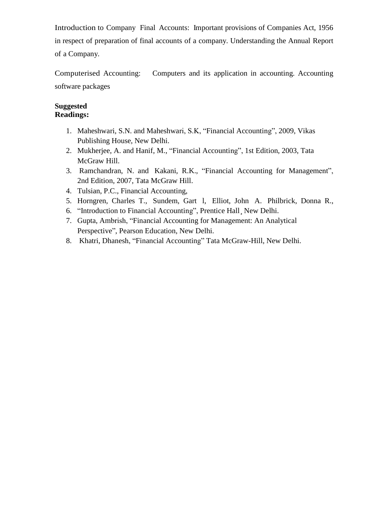Introduction to Company Final Accounts: Important provisions of Companies Act, 1956 in respect of preparation of final accounts of a company. Understanding the Annual Report of a Company.

Computerised Accounting: Computers and its application in accounting. Accounting software packages

#### **Suggested Readings:**

- 1. Maheshwari, S.N. and Maheshwari, S.K, "Financial Accounting", 2009, Vikas Publishing House, New Delhi.
- 2. Mukherjee, A. and Hanif, M., "Financial Accounting", 1st Edition, 2003, Tata McGraw Hill.
- 3. Ramchandran, N. and Kakani, R.K., "Financial Accounting for Management", 2nd Edition, 2007, Tata McGraw Hill.
- 4. Tulsian, P.C., Financial Accounting,
- 5. Horngren, Charles T., Sundem, Gart l, Elliot, John A. Philbrick, Donna R.,
- 6. "Introduction to Financial Accounting", Prentice Hall¸ New Delhi.
- 7. Gupta, Ambrish, "Financial Accounting for Management: An Analytical Perspective", Pearson Education, New Delhi.
- 8. Khatri, Dhanesh, "Financial Accounting" Tata McGraw-Hill, New Delhi.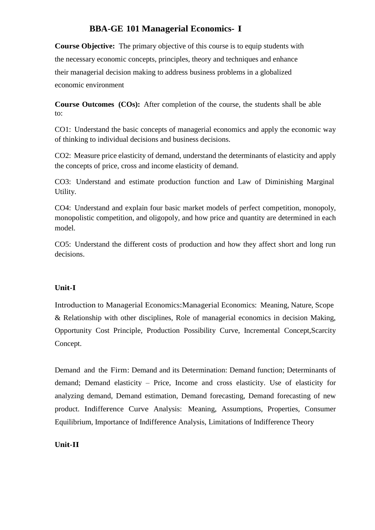# **BBA-GE 101 Managerial Economics- I**

**Course Objective:** The primary objective of this course is to equip students with the necessary economic concepts, principles, theory and techniques and enhance their managerial decision making to address business problems in a globalized economic environment

**Course Outcomes (COs):** After completion of the course, the students shall be able to:

CO1: Understand the basic concepts of managerial economics and apply the economic way of thinking to individual decisions and business decisions.

CO2: Measure price elasticity of demand, understand the determinants of elasticity and apply the concepts of price, cross and income elasticity of demand.

CO3: Understand and estimate production function and Law of Diminishing Marginal Utility.

CO4: Understand and explain four basic market models of perfect competition, monopoly, monopolistic competition, and oligopoly, and how price and quantity are determined in each model.

CO5: Understand the different costs of production and how they affect short and long run decisions.

## **Unit-I**

Introduction to Managerial Economics:Managerial Economics: Meaning, Nature, Scope & Relationship with other disciplines, Role of managerial economics in decision Making, Opportunity Cost Principle, Production Possibility Curve, Incremental Concept,Scarcity Concept.

Demand and the Firm: Demand and its Determination: Demand function; Determinants of demand; Demand elasticity – Price, Income and cross elasticity. Use of elasticity for analyzing demand, Demand estimation, Demand forecasting, Demand forecasting of new product. Indifference Curve Analysis: Meaning, Assumptions, Properties, Consumer Equilibrium, Importance of Indifference Analysis, Limitations of Indifference Theory

## **Unit-II**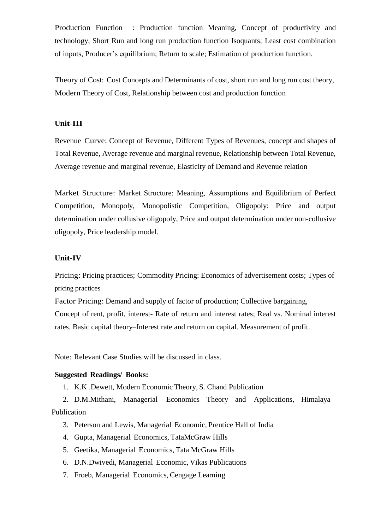Production Function : Production function Meaning, Concept of productivity and technology, Short Run and long run production function Isoquants; Least cost combination of inputs, Producer's equilibrium; Return to scale; Estimation of production function.

Theory of Cost: Cost Concepts and Determinants of cost, short run and long run cost theory, Modern Theory of Cost, Relationship between cost and production function

#### **Unit-III**

Revenue Curve: Concept of Revenue, Different Types of Revenues, concept and shapes of Total Revenue, Average revenue and marginal revenue, Relationship between Total Revenue, Average revenue and marginal revenue, Elasticity of Demand and Revenue relation

Market Structure: Market Structure: Meaning, Assumptions and Equilibrium of Perfect Competition, Monopoly, Monopolistic Competition, Oligopoly: Price and output determination under collusive oligopoly, Price and output determination under non-collusive oligopoly, Price leadership model.

#### **Unit-IV**

Pricing: Pricing practices; Commodity Pricing: Economics of advertisement costs; Types of pricing practices

Factor Pricing: Demand and supply of factor of production; Collective bargaining, Concept of rent, profit, interest- Rate of return and interest rates; Real vs. Nominal interest rates. Basic capital theory–Interest rate and return on capital. Measurement of profit.

Note: Relevant Case Studies will be discussed in class.

#### **Suggested Readings/ Books:**

1. K.K .Dewett, Modern Economic Theory, S. Chand Publication

2. D.M.Mithani, Managerial Economics Theory and Applications, Himalaya Publication

- 3. Peterson and Lewis, Managerial Economic, Prentice Hall of India
- 4. Gupta, Managerial Economics, TataMcGraw Hills
- 5. Geetika, Managerial Economics, Tata McGraw Hills
- 6. D.N.Dwivedi, Managerial Economic, Vikas Publications
- 7. Froeb, Managerial Economics, Cengage Learning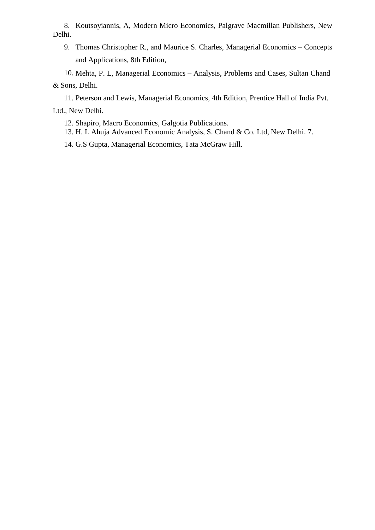8. Koutsoyiannis, A, Modern Micro Economics, Palgrave Macmillan Publishers, New Delhi.

9. Thomas Christopher R., and Maurice S. Charles, Managerial Economics – Concepts and Applications, 8th Edition,

10. Mehta, P. L, Managerial Economics – Analysis, Problems and Cases, Sultan Chand & Sons, Delhi.

11. Peterson and Lewis, Managerial Economics, 4th Edition, Prentice Hall of India Pvt. Ltd., New Delhi.

12. Shapiro, Macro Economics, Galgotia Publications.

13. H. L Ahuja Advanced Economic Analysis, S. Chand & Co. Ltd, New Delhi. 7.

14. G.S Gupta, Managerial Economics, Tata McGraw Hill.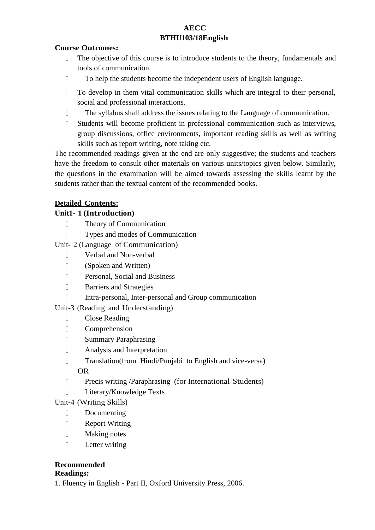## **AECC BTHU103/18English**

## **Course Outcomes:**

- $\begin{bmatrix} 1 & 1 \\ 1 & 1 \end{bmatrix}$ The objective of this course is to introduce students to the theory, fundamentals and tools of communication.
- To help the students become the independent users of English language.
- $\begin{array}{c} \square \end{array}$ To develop in them vital communication skills which are integral to their personal, social and professional interactions.
- The syllabus shall address the issues relating to the Language of communication.
- $\Box$ Students will become proficient in professional communication such as interviews, group discussions, office environments, important reading skills as well as writing skills such as report writing, note taking etc.

The recommended readings given at the end are only suggestive; the students and teachers have the freedom to consult other materials on various units/topics given below. Similarly, the questions in the examination will be aimed towards assessing the skills learnt by the students rather than the textual content of the recommended books.

## **Detailed Contents:**

## **Unit1- 1 (Introduction)**

- **Theory of Communication**
- Types and modes of Communication
- Unit- 2 (Language of Communication)
	- Verbal and Non-verbal
	- (Spoken and Written)
	- Personal, Social and Business
	- **Barriers and Strategies**
	- Intra-personal, Inter-personal and Group communication

## Unit-3 (Reading and Understanding)

- Close Reading
- Comprehension
- Summary Paraphrasing
- Analysis and Interpretation
- Translation(from Hindi/Punjabi to English and vice-versa) OR
- Precis writing /Paraphrasing (for International Students)
- D Literary/Knowledge Texts

## Unit-4 (Writing Skills)

- Documenting
- **Example 3** Report Writing
- Making notes
- D Letter writing

# **Recommended**

## **Readings:**

1. Fluency in English - Part II, Oxford University Press, 2006.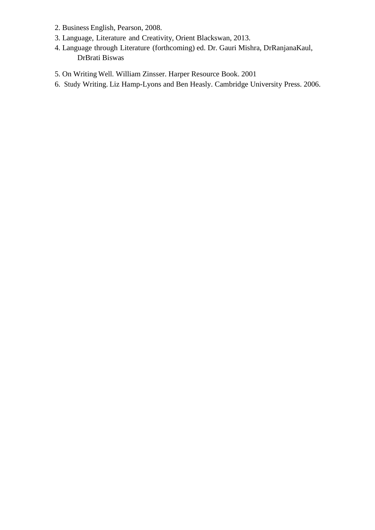- 2. Business English, Pearson, 2008.
- 3. Language, Literature and Creativity, Orient Blackswan, 2013.
- 4. Language through Literature (forthcoming) ed. Dr. Gauri Mishra, DrRanjanaKaul, DrBrati Biswas
- 5. On Writing Well. William Zinsser. Harper Resource Book. 2001
- 6. Study Writing. Liz Hamp-Lyons and Ben Heasly. Cambridge University Press. 2006.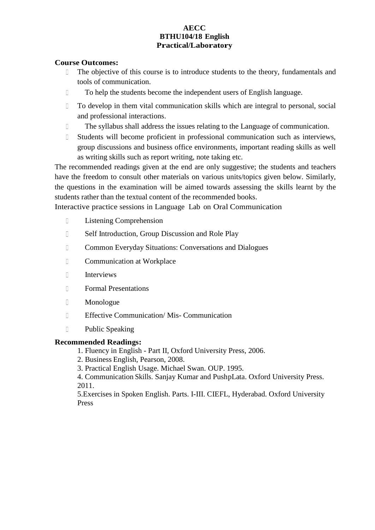#### **AECC BTHU104/18 English Practical/Laboratory**

#### **Course Outcomes:**

- The objective of this course is to introduce students to the theory, fundamentals and  $\Box$ tools of communication.
- To help the students become the independent users of English language.
- $\Box$ To develop in them vital communication skills which are integral to personal, social and professional interactions.
- The syllabus shall address the issues relating to the Language of communication.
- $\mathbb{R}$ Students will become proficient in professional communication such as interviews, group discussions and business office environments, important reading skills as well as writing skills such as report writing, note taking etc.

The recommended readings given at the end are only suggestive; the students and teachers have the freedom to consult other materials on various units/topics given below. Similarly, the questions in the examination will be aimed towards assessing the skills learnt by the students rather than the textual content of the recommended books.

Interactive practice sessions in Language Lab on Oral Communication

- D Listening Comprehension
- **Self Introduction, Group Discussion and Role Play**
- Common Everyday Situations: Conversations and Dialogues
- **Communication at Workplace**
- Interviews
- Formal Presentations
- Monologue
- Effective Communication/ Mis- Communication
- Public Speaking

#### **Recommended Readings:**

- 1. Fluency in English Part II, Oxford University Press, 2006.
- 2. Business English, Pearson, 2008.

3. Practical English Usage. Michael Swan. OUP. 1995.

4. Communication Skills. Sanjay Kumar and PushpLata. Oxford University Press. 2011.

5.Exercises in Spoken English. Parts. I-III. CIEFL, Hyderabad. Oxford University Press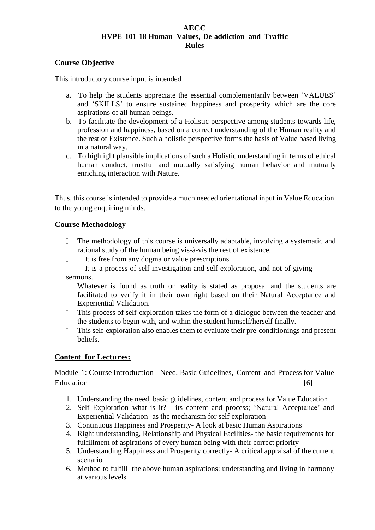#### **AECC HVPE 101-18 Human Values, De-addiction and Traffic Rules**

#### **Course Objective**

This introductory course input is intended

- a. To help the students appreciate the essential complementarily between 'VALUES' and 'SKILLS' to ensure sustained happiness and prosperity which are the core aspirations of all human beings.
- b. To facilitate the development of a Holistic perspective among students towards life, profession and happiness, based on a correct understanding of the Human reality and the rest of Existence. Such a holistic perspective forms the basis of Value based living in a natural way.
- c. To highlight plausible implications of such a Holistic understanding in terms of ethical human conduct, trustful and mutually satisfying human behavior and mutually enriching interaction with Nature.

Thus, this course is intended to provide a much needed orientational input in Value Education to the young enquiring minds.

#### **Course Methodology**

- The methodology of this course is universally adaptable, involving a systematic and  $\begin{array}{ccc} \hline \end{array}$ rational study of the human being vis-à-vis the rest of existence.
- It is free from any dogma or value prescriptions.
- It is a process of self-investigation and self-exploration, and not of giving sermons.

Whatever is found as truth or reality is stated as proposal and the students are facilitated to verify it in their own right based on their Natural Acceptance and Experiential Validation.

- $\Box$ This process of self-exploration takes the form of a dialogue between the teacher and the students to begin with, and within the student himself/herself finally.
- $\begin{array}{c} \square \end{array}$ This self-exploration also enables them to evaluate their pre-conditionings and present beliefs.

## **Content for Lectures:**

Module 1: Course Introduction - Need, Basic Guidelines, Content and Process for Value Education [6]

- 1. Understanding the need, basic guidelines, content and process for Value Education
- 2. Self Exploration–what is it? its content and process; 'Natural Acceptance' and Experiential Validation- as the mechanism for self exploration
- 3. Continuous Happiness and Prosperity- A look at basic Human Aspirations
- 4. Right understanding, Relationship and Physical Facilities- the basic requirements for fulfillment of aspirations of every human being with their correct priority
- 5. Understanding Happiness and Prosperity correctly- A critical appraisal of the current scenario
- 6. Method to fulfill the above human aspirations: understanding and living in harmony at various levels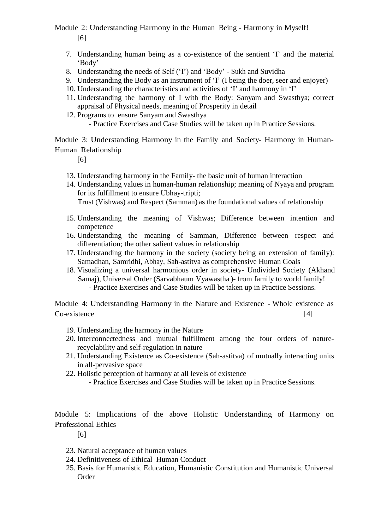## Module 2: Understanding Harmony in the Human Being - Harmony in Myself! [6]

- 7. Understanding human being as a co-existence of the sentient 'I' and the material 'Body'
- 8. Understanding the needs of Self ('I') and 'Body' Sukh and Suvidha
- 9. Understanding the Body as an instrument of 'I' (I being the doer, seer and enjoyer)
- 10. Understanding the characteristics and activities of 'I' and harmony in 'I'
- 11. Understanding the harmony of I with the Body: Sanyam and Swasthya; correct appraisal of Physical needs, meaning of Prosperity in detail
- 12. Programs to ensure Sanyam and Swasthya
	- Practice Exercises and Case Studies will be taken up in Practice Sessions.

Module 3: Understanding Harmony in the Family and Society- Harmony in Human-Human Relationship

[6]

- 13. Understanding harmony in the Family- the basic unit of human interaction
- 14. Understanding values in human-human relationship; meaning of Nyaya and program for its fulfillment to ensure Ubhay-tripti; Trust (Vishwas) and Respect (Samman) as the foundational values of relationship
- 15. Understanding the meaning of Vishwas; Difference between intention and competence
- 16. Understanding the meaning of Samman, Difference between respect and differentiation; the other salient values in relationship
- 17. Understanding the harmony in the society (society being an extension of family): Samadhan, Samridhi, Abhay, Sah-astitva as comprehensive Human Goals
- 18. Visualizing a universal harmonious order in society- Undivided Society (Akhand Samaj), Universal Order (Sarvabhaum Vyawastha )- from family to world family! - Practice Exercises and Case Studies will be taken up in Practice Sessions.

Module 4: Understanding Harmony in the Nature and Existence - Whole existence as Co-existence [4]

- 19. Understanding the harmony in the Nature
- 20. Interconnectedness and mutual fulfillment among the four orders of naturerecyclability and self-regulation in nature
- 21. Understanding Existence as Co-existence (Sah-astitva) of mutually interacting units in all-pervasive space
- 22. Holistic perception of harmony at all levels of existence
	- Practice Exercises and Case Studies will be taken up in Practice Sessions.

Module 5: Implications of the above Holistic Understanding of Harmony on Professional Ethics

[6]

- 23. Natural acceptance of human values
- 24. Definitiveness of Ethical Human Conduct
- 25. Basis for Humanistic Education, Humanistic Constitution and Humanistic Universal Order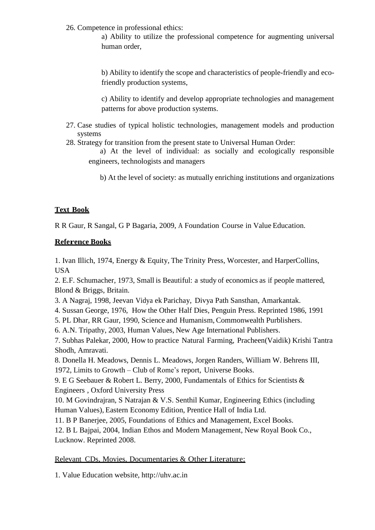26. Competence in professional ethics:

a) Ability to utilize the professional competence for augmenting universal human order,

b) Ability to identify the scope and characteristics of people-friendly and ecofriendly production systems,

c) Ability to identify and develop appropriate technologies and management patterns for above production systems.

- 27. Case studies of typical holistic technologies, management models and production systems
- 28. Strategy for transition from the present state to Universal Human Order:
	- a) At the level of individual: as socially and ecologically responsible engineers, technologists and managers

b) At the level of society: as mutually enriching institutions and organizations

# **Text Book**

R R Gaur, R Sangal, G P Bagaria, 2009, A Foundation Course in Value Education.

## **Reference Books**

1. Ivan Illich, 1974, Energy & Equity, The Trinity Press, Worcester, and HarperCollins, USA

2. E.F. Schumacher, 1973, Small is Beautiful: a study of economics as if people mattered, Blond & Briggs, Britain.

- 3. A Nagraj, 1998, Jeevan Vidya ek Parichay, Divya Path Sansthan, Amarkantak.
- 4. Sussan George, 1976, How the Other Half Dies, Penguin Press. Reprinted 1986, 1991

5. PL Dhar, RR Gaur, 1990, Science and Humanism, Commonwealth Purblishers.

6. A.N. Tripathy, 2003, Human Values, New Age International Publishers.

7. Subhas Palekar, 2000, How to practice Natural Farming, Pracheen(Vaidik) Krishi Tantra Shodh, Amravati.

8. Donella H. Meadows, Dennis L. Meadows, Jorgen Randers, William W. Behrens III, 1972, Limits to Growth – Club of Rome's report, Universe Books.

9. E G Seebauer & Robert L. Berry, 2000, Fundamentals of Ethics for Scientists & Engineers , Oxford University Press

10. M Govindrajran, S Natrajan & V.S. Senthil Kumar, Engineering Ethics (including Human Values), Eastern Economy Edition, Prentice Hall of India Ltd.

11. B P Banerjee, 2005, Foundations of Ethics and Management, Excel Books.

12. B L Bajpai, 2004, Indian Ethos and Modern Management, New Royal Book Co., Lucknow. Reprinted 2008.

## Relevant CDs, Movies, Documentaries & Other Literature:

1. Value Education website, [http://uhv.ac.in](http://uhv.ac.in/)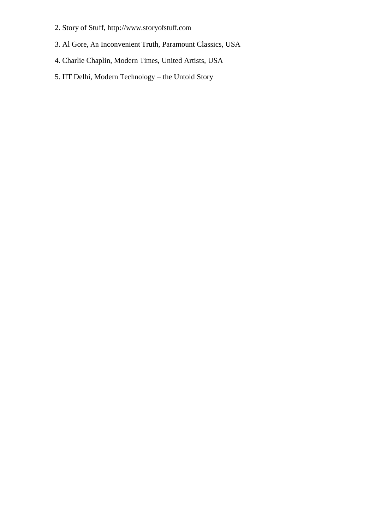- 2. Story of Stuff, [http://www.storyofstuff.com](http://www.storyofstuff.com/)
- 3. Al Gore, An Inconvenient Truth, Paramount Classics, USA
- 4. Charlie Chaplin, Modern Times, United Artists, USA
- 5. IIT Delhi, Modern Technology the Untold Story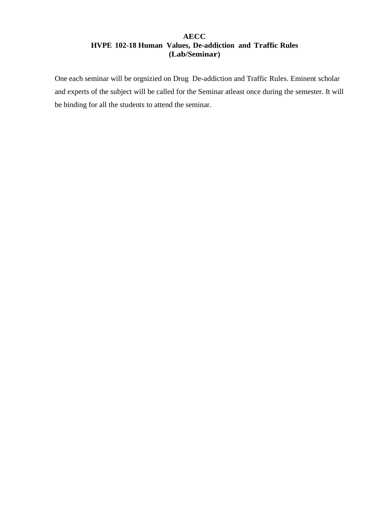## **AECC HVPE 102-18 Human Values, De-addiction and Traffic Rules (Lab/Seminar)**

One each seminar will be orgnizied on Drug De-addiction and Traffic Rules. Eminent scholar and experts of the subject will be called for the Seminar atleast once during the semester. It will be binding for all the students to attend the seminar.